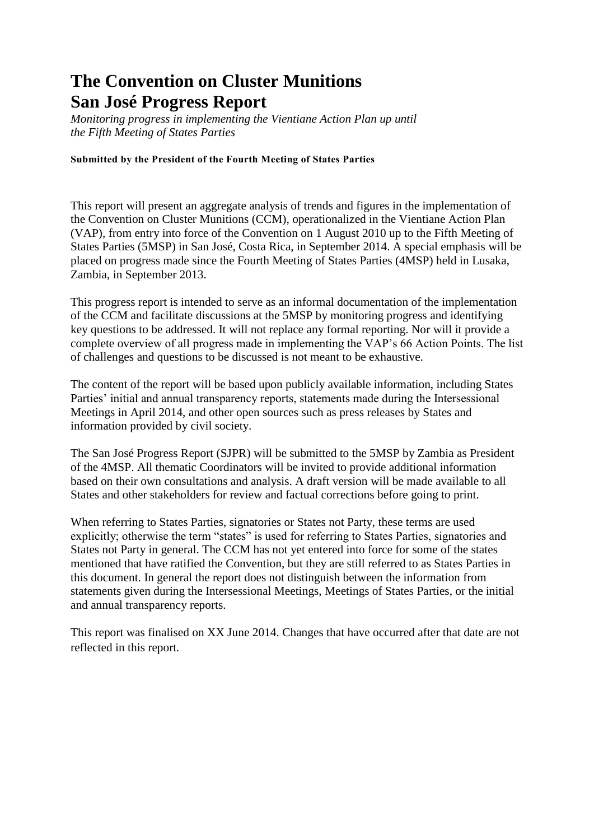# **The Convention on Cluster Munitions San José Progress Report**

*Monitoring progress in implementing the Vientiane Action Plan up until the Fifth Meeting of States Parties*

## **Submitted by the President of the Fourth Meeting of States Parties**

This report will present an aggregate analysis of trends and figures in the implementation of the Convention on Cluster Munitions (CCM), operationalized in the Vientiane Action Plan (VAP), from entry into force of the Convention on 1 August 2010 up to the Fifth Meeting of States Parties (5MSP) in San José, Costa Rica, in September 2014. A special emphasis will be placed on progress made since the Fourth Meeting of States Parties (4MSP) held in Lusaka, Zambia, in September 2013.

This progress report is intended to serve as an informal documentation of the implementation of the CCM and facilitate discussions at the 5MSP by monitoring progress and identifying key questions to be addressed. It will not replace any formal reporting. Nor will it provide a complete overview of all progress made in implementing the VAP's 66 Action Points. The list of challenges and questions to be discussed is not meant to be exhaustive.

The content of the report will be based upon publicly available information, including States Parties' initial and annual transparency reports, statements made during the Intersessional Meetings in April 2014, and other open sources such as press releases by States and information provided by civil society.

The San José Progress Report (SJPR) will be submitted to the 5MSP by Zambia as President of the 4MSP. All thematic Coordinators will be invited to provide additional information based on their own consultations and analysis. A draft version will be made available to all States and other stakeholders for review and factual corrections before going to print.

When referring to States Parties, signatories or States not Party, these terms are used explicitly; otherwise the term "states" is used for referring to States Parties, signatories and States not Party in general. The CCM has not yet entered into force for some of the states mentioned that have ratified the Convention, but they are still referred to as States Parties in this document. In general the report does not distinguish between the information from statements given during the Intersessional Meetings, Meetings of States Parties, or the initial and annual transparency reports.

This report was finalised on XX June 2014. Changes that have occurred after that date are not reflected in this report*.*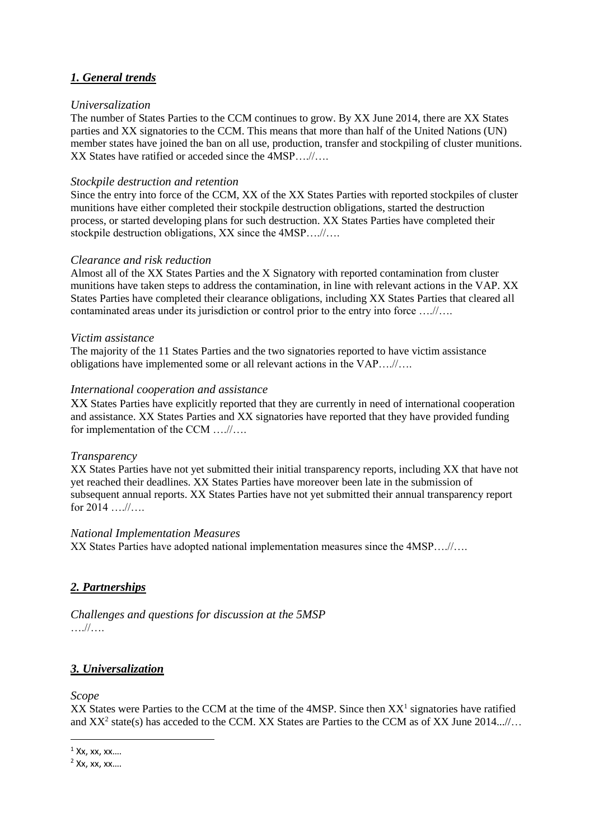## *1. General trends*

#### *Universalization*

The number of States Parties to the CCM continues to grow. By XX June 2014, there are XX States parties and XX signatories to the CCM. This means that more than half of the United Nations (UN) member states have joined the ban on all use, production, transfer and stockpiling of cluster munitions. XX States have ratified or acceded since the 4MSP….//….

## *Stockpile destruction and retention*

Since the entry into force of the CCM, XX of the XX States Parties with reported stockpiles of cluster munitions have either completed their stockpile destruction obligations, started the destruction process, or started developing plans for such destruction. XX States Parties have completed their stockpile destruction obligations, XX since the  $4MSP$ ....//....

## *Clearance and risk reduction*

Almost all of the XX States Parties and the X Signatory with reported contamination from cluster munitions have taken steps to address the contamination, in line with relevant actions in the VAP. XX States Parties have completed their clearance obligations, including XX States Parties that cleared all contaminated areas under its jurisdiction or control prior to the entry into force ….//….

## *Victim assistance*

The majority of the 11 States Parties and the two signatories reported to have victim assistance obligations have implemented some or all relevant actions in the VAP….//….

## *International cooperation and assistance*

XX States Parties have explicitly reported that they are currently in need of international cooperation and assistance. XX States Parties and XX signatories have reported that they have provided funding for implementation of the CCM ….//….

#### *Transparency*

XX States Parties have not yet submitted their initial transparency reports, including XX that have not yet reached their deadlines. XX States Parties have moreover been late in the submission of subsequent annual reports. XX States Parties have not yet submitted their annual transparency report for  $2014$  ….//….

#### *National Implementation Measures*

XX States Parties have adopted national implementation measures since the 4MSP….//….

## *2. Partnerships*

*Challenges and questions for discussion at the 5MSP*  ….//….

## *3. Universalization*

#### *Scope*

1

XX States were Parties to the CCM at the time of the  $4MSP$ . Since then  $XX<sup>1</sup>$  signatories have ratified and  $XX^2$  state(s) has acceded to the CCM. XX States are Parties to the CCM as of XX June 2014...//...

 $1$  Xx, xx, xx...

 $2$  Xx, xx, xx....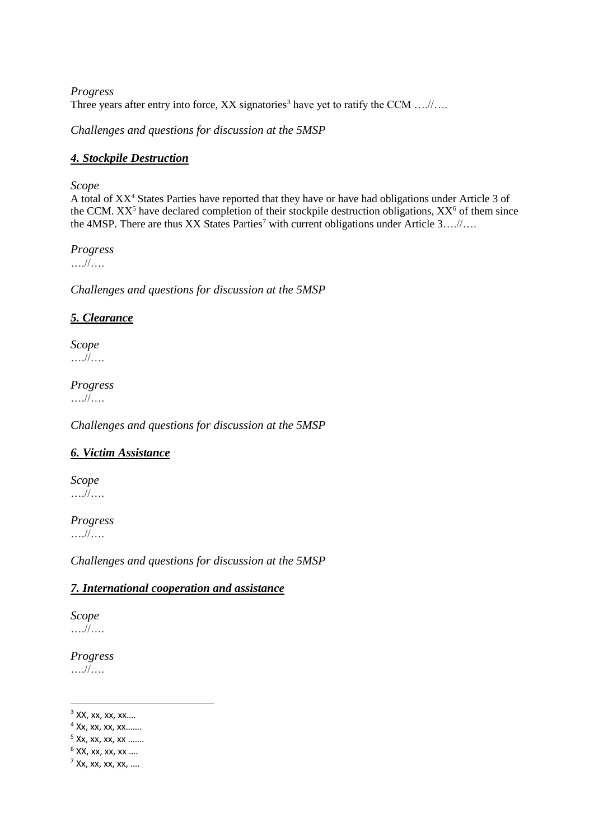*Progress*  Three years after entry into force,  $XX$  signatories<sup>3</sup> have yet to ratify the CCM ....//....

*Challenges and questions for discussion at the 5MSP*

## *4. Stockpile Destruction*

## *Scope*

A total of XX<sup>4</sup> States Parties have reported that they have or have had obligations under Article 3 of the CCM.  $XX^5$  have declared completion of their stockpile destruction obligations,  $XX^6$  of them since the 4MSP. There are thus XX States Parties<sup>7</sup> with current obligations under Article 3….//….

*Progress*  ….//….

*Challenges and questions for discussion at the 5MSP*

## *5. Clearance*

*Scope*  ….//….

*Progress* 

….//….

*Challenges and questions for discussion at the 5MSP* 

## *6. Victim Assistance*

*Scope*  ….//….

*Progress*  ….//….

*Challenges and questions for discussion at the 5MSP*

## *7. International cooperation and assistance*

*Scope*  ….//….

*Progress*  ….//….

**.** 

 $3$  XX, xx, xx, xx....

 $4$  Xx, xx, xx, xx.......

<sup>5</sup> Xx, xx, xx, xx …….

 $6$  XX, xx, xx, xx ....

 $7$  Xx, xx, xx, xx, ...